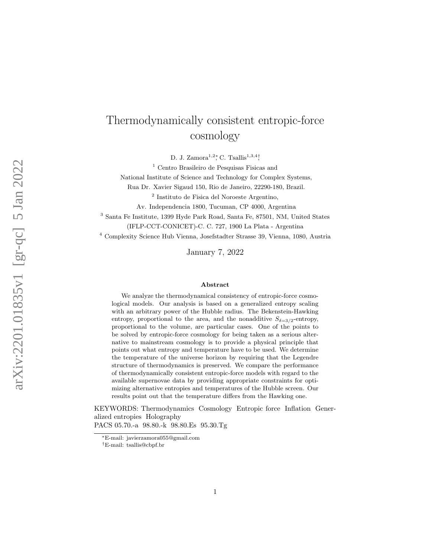# Thermodynamically consistent entropic-force cosmology

D. J. Zamora<sup>1,2</sup><sup>\*</sup>, C. Tsallis<sup>1,3,4</sup><sup>†</sup>,

 $1$  Centro Brasileiro de Pesquisas Fisicas and

National Institute of Science and Technology for Complex Systems,

Rua Dr. Xavier Sigaud 150, Rio de Janeiro, 22290-180, Brazil.

2 Instituto de Fisica del Noroeste Argentino,

Av. Independencia 1800, Tucuman, CP 4000, Argentina

<sup>3</sup> Santa Fe Institute, 1399 Hyde Park Road, Santa Fe, 87501, NM, United States (IFLP-CCT-CONICET)-C. C. 727, 1900 La Plata - Argentina

<sup>4</sup> Complexity Science Hub Vienna, Josefstadter Strasse 39, Vienna, 1080, Austria

January 7, 2022

#### Abstract

We analyze the thermodynamical consistency of entropic-force cosmological models. Our analysis is based on a generalized entropy scaling with an arbitrary power of the Hubble radius. The Bekenstein-Hawking entropy, proportional to the area, and the nonadditive  $S_{\delta=3/2}$ -entropy, proportional to the volume, are particular cases. One of the points to be solved by entropic-force cosmology for being taken as a serious alternative to mainstream cosmology is to provide a physical principle that points out what entropy and temperature have to be used. We determine the temperature of the universe horizon by requiring that the Legendre structure of thermodynamics is preserved. We compare the performance of thermodynamically consistent entropic-force models with regard to the available supernovae data by providing appropriate constraints for optimizing alternative entropies and temperatures of the Hubble screen. Our results point out that the temperature differs from the Hawking one.

KEYWORDS: Thermodynamics Cosmology Entropic force Inflation Generalized entropies Holography PACS 05.70.-a 98.80.-k 98.80.Es 95.30.Tg

<sup>∗</sup>E-mail: javierzamora055@gmail.com

<sup>†</sup>E-mail: tsallis@cbpf.br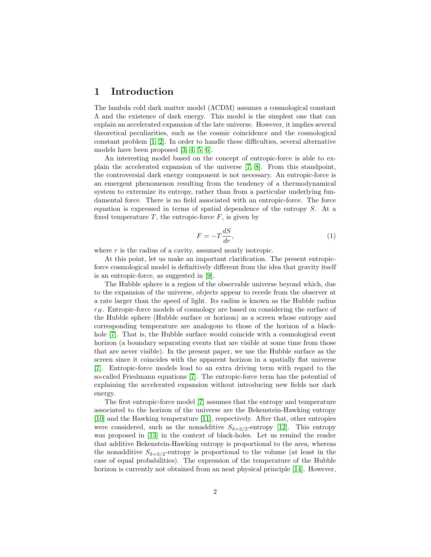### 1 Introduction

The lambda cold dark matter model (ΛCDM) assumes a cosmological constant Λ and the existence of dark energy. This model is the simplest one that can explain an accelerated expansion of the late universe. However, it implies several theoretical peculiarities, such as the cosmic coincidence and the cosmological constant problem [\[1,](#page-10-0) [2\]](#page-10-1). In order to handle these difficulties, several alternative models have been proposed [\[3,](#page-10-2) [4,](#page-10-3) [5,](#page-10-4) [6\]](#page-10-5).

An interesting model based on the concept of entropic-force is able to explain the accelerated expansion of the universe [\[7,](#page-11-0) [8\]](#page-11-1). From this standpoint, the controversial dark energy component is not necessary. An entropic-force is an emergent phenomenon resulting from the tendency of a thermodynamical system to extremize its entropy, rather than from a particular underlying fundamental force. There is no field associated with an entropic-force. The force equation is expressed in terms of spatial dependence of the entropy S. At a fixed temperature  $T$ , the entropic-force  $F$ , is given by

$$
F = -T\frac{dS}{dr},\tag{1}
$$

where  $r$  is the radius of a cavity, assumed nearly isotropic.

At this point, let us make an important clarification. The present entropicforce cosmological model is definitively different from the idea that gravity itself is an entropic-force, as suggested in [\[9\]](#page-11-2).

The Hubble sphere is a region of the observable universe beyond which, due to the expansion of the universe, objects appear to recede from the observer at a rate larger than the speed of light. Its radius is known as the Hubble radius  $r_H$ . Entropic-force models of cosmology are based on considering the surface of the Hubble sphere (Hubble surface or horizon) as a screen whose entropy and corresponding temperature are analogous to those of the horizon of a black-hole [\[7\]](#page-11-0). That is, the Hubble surface would coincide with a cosmological event horizon (a boundary separating events that are visible at some time from those that are never visible). In the present paper, we use the Hubble surface as the screen since it coincides with the apparent horizon in a spatially flat universe [\[7\]](#page-11-0). Entropic-force models lead to an extra driving term with regard to the so-called Friedmann equations [\[7\]](#page-11-0). The entropic-force term has the potential of explaining the accelerated expansion without introducing new fields nor dark energy.

The first entropic-force model [\[7\]](#page-11-0) assumes that the entropy and temperature associated to the horizon of the universe are the Bekenstein-Hawking entropy [\[10\]](#page-11-3) and the Hawking temperature [\[11\]](#page-11-4), respectively. After that, other entropies were considered, such as the nonadditive  $S_{\delta=3/2}$ -entropy [\[12\]](#page-11-5). This entropy was proposed in [\[13\]](#page-11-6) in the context of black-holes. Let us remind the reader that additive Bekenstein-Hawking entropy is proportional to the area, whereas the nonadditive  $S_{\delta=3/2}$ -entropy is proportional to the volume (at least in the case of equal probabilities). The expression of the temperature of the Hubble horizon is currently not obtained from an neat physical principle [\[14\]](#page-11-7). However,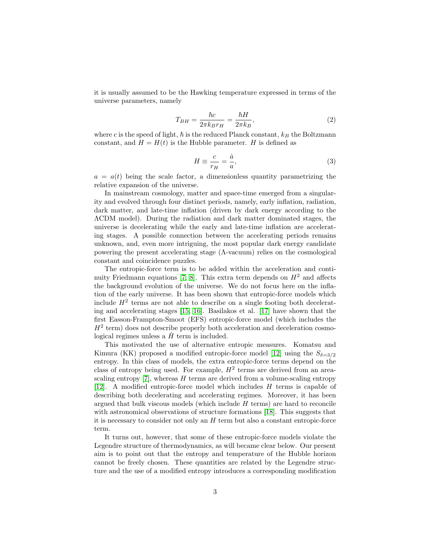it is usually assumed to be the Hawking temperature expressed in terms of the universe parameters, namely

<span id="page-2-0"></span>
$$
T_{BH} = \frac{\hbar c}{2\pi k_B r_H} = \frac{\hbar H}{2\pi k_B},\tag{2}
$$

where  $c$  is the speed of light,  $\hbar$  is the reduced Planck constant,  $k_B$  the Boltzmann constant, and  $H = H(t)$  is the Hubble parameter. H is defined as

$$
H \equiv \frac{c}{r_H} = \frac{\dot{a}}{a},\tag{3}
$$

 $a = a(t)$  being the scale factor, a dimensionless quantity parametrizing the relative expansion of the universe.

In mainstream cosmology, matter and space-time emerged from a singularity and evolved through four distinct periods, namely, early inflation, radiation, dark matter, and late-time inflation (driven by dark energy according to the ΛCDM model). During the radiation and dark matter dominated stages, the universe is decelerating while the early and late-time inflation are accelerating stages. A possible connection between the accelerating periods remains unknown, and, even more intriguing, the most popular dark energy candidate powering the present accelerating stage (Λ-vacuum) relies on the cosmological constant and coincidence puzzles.

The entropic-force term is to be added within the acceleration and conti-nuity Friedmann equations [\[7,](#page-11-0) [8\]](#page-11-1). This extra term depends on  $H^2$  and affects the background evolution of the universe. We do not focus here on the inflation of the early universe. It has been shown that entropic-force models which include  $H^2$  terms are not able to describe on a single footing both decelerating and accelerating stages [\[15,](#page-11-8) [16\]](#page-11-9). Basilakos et al. [\[17\]](#page-11-10) have shown that the first Easson-Frampton-Smoot (EFS) entropic-force model (which includes the  $H<sup>2</sup>$  term) does not describe properly both acceleration and deceleration cosmological regimes unless a  $\hat{H}$  term is included.

This motivated the use of alternative entropic measures. Komatsu and Kimura (KK) proposed a modified entropic-force model [\[12\]](#page-11-5) using the  $S_{\delta=3/2}$ entropy. In this class of models, the extra entropic-force terms depend on the class of entropy being used. For example,  $H^2$  terms are derived from an areascaling entropy  $[7]$ , whereas H terms are derived from a volume-scaling entropy [\[12\]](#page-11-5). A modified entropic-force model which includes H terms is capable of describing both decelerating and accelerating regimes. Moreover, it has been argued that bulk viscous models (which include  $H$  terms) are hard to reconcile with astronomical observations of structure formations [\[18\]](#page-11-11). This suggests that it is necessary to consider not only an  $H$  term but also a constant entropic-force term.

It turns out, however, that some of these entropic-force models violate the Legendre structure of thermodynamics, as will became clear below. Our present aim is to point out that the entropy and temperature of the Hubble horizon cannot be freely chosen. These quantities are related by the Legendre structure and the use of a modified entropy introduces a corresponding modification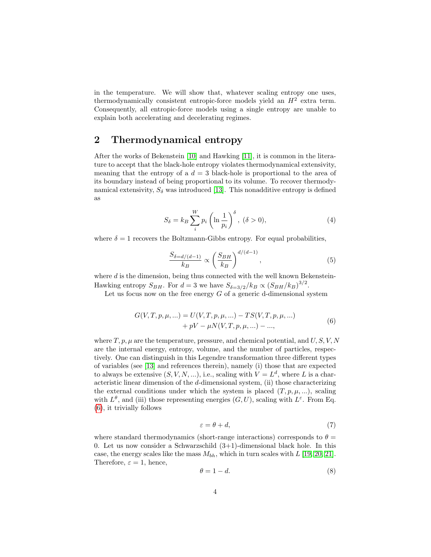in the temperature. We will show that, whatever scaling entropy one uses, thermodynamically consistent entropic-force models yield an  $H<sup>2</sup>$  extra term. Consequently, all entropic-force models using a single entropy are unable to explain both accelerating and decelerating regimes.

### 2 Thermodynamical entropy

After the works of Bekenstein [\[10\]](#page-11-3) and Hawking [\[11\]](#page-11-4), it is common in the literature to accept that the black-hole entropy violates thermodynamical extensivity, meaning that the entropy of a  $d = 3$  black-hole is proportional to the area of its boundary instead of being proportional to its volume. To recover thermodynamical extensivity,  $S_{\delta}$  was introduced [\[13\]](#page-11-6). This nonadditive entropy is defined as

$$
S_{\delta} = k_B \sum_{i}^{W} p_i \left( \ln \frac{1}{p_i} \right)^{\delta}, \ (\delta > 0), \tag{4}
$$

where  $\delta = 1$  recovers the Boltzmann-Gibbs entropy. For equal probabilities,

$$
\frac{S_{\delta=d/(d-1)}}{k_B} \propto \left(\frac{S_{BH}}{k_B}\right)^{d/(d-1)},\tag{5}
$$

where  $d$  is the dimension, being thus connected with the well known Bekenstein-Hawking entropy  $S_{BH}$ . For  $d = 3$  we have  $S_{\delta=3/2}/k_B \propto (S_{BH}/k_B)^{3/2}$ .

Let us focus now on the free energy  $G$  of a generic d-dimensional system

$$
G(V, T, p, \mu, \ldots) = U(V, T, p, \mu, \ldots) - TS(V, T, p, \mu, \ldots) + pV - \mu N(V, T, p, \mu, \ldots) - \ldots,
$$
\n(6)

<span id="page-3-0"></span>where  $T, p, \mu$  are the temperature, pressure, and chemical potential, and  $U, S, V, N$ are the internal energy, entropy, volume, and the number of particles, respectively. One can distinguish in this Legendre transformation three different types of variables (see [\[13\]](#page-11-6) and references therein), namely (i) those that are expected to always be extensive  $(S, V, N, ...)$ , i.e., scaling with  $V = L^d$ , where L is a characteristic linear dimension of the  $d$ -dimensional system, (ii) those characterizing the external conditions under which the system is placed  $(T, p, \mu, ...)$ , scaling with  $L^{\theta}$ , and (iii) those representing energies  $(G, U)$ , scaling with  $L^{\varepsilon}$ . From Eq. [\(6\)](#page-3-0), it trivially follows

$$
\varepsilon = \theta + d,\tag{7}
$$

where standard thermodynamics (short-range interactions) corresponds to  $\theta =$ 0. Let us now consider a Schwarzschild  $(3+1)$ -dimensional black hole. In this case, the energy scales like the mass  $M_{bh}$ , which in turn scales with L [\[19,](#page-11-12) [20,](#page-11-13) [21\]](#page-11-14). Therefore,  $\varepsilon = 1$ , hence,

<span id="page-3-1"></span>
$$
\theta = 1 - d.\tag{8}
$$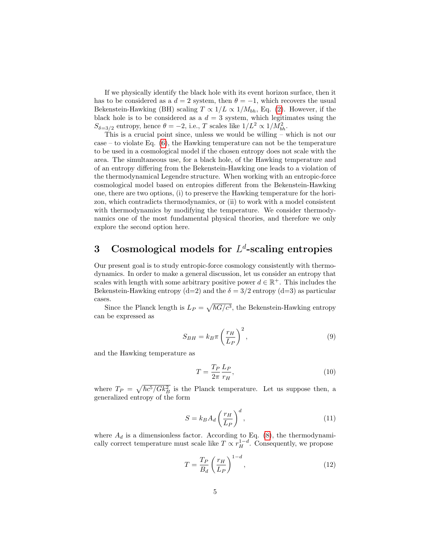If we physically identify the black hole with its event horizon surface, then it has to be considered as a  $d = 2$  system, then  $\theta = -1$ , which recovers the usual Bekenstein-Hawking (BH) scaling  $T \propto 1/L \propto 1/M_{bh}$ , Eq. [\(2\)](#page-2-0). However, if the black hole is to be considered as a  $d = 3$  system, which legitimates using the  $S_{\delta=3/2}$  entropy, hence  $\theta = -2$ , i.e., T scales like  $1/L^2 \propto 1/M_{bh}^2$ .

This is a crucial point since, unless we would be willing – which is not our  $case - to violate Eq. (6), the Hawking temperature can not be the temperature.$  $case - to violate Eq. (6), the Hawking temperature can not be the temperature.$  $case - to violate Eq. (6), the Hawking temperature can not be the temperature.$ to be used in a cosmological model if the chosen entropy does not scale with the area. The simultaneous use, for a black hole, of the Hawking temperature and of an entropy differing from the Bekenstein-Hawking one leads to a violation of the thermodynamical Legendre structure. When working with an entropic-force cosmological model based on entropies different from the Bekenstein-Hawking one, there are two options, (i) to preserve the Hawking temperature for the horizon, which contradicts thermodynamics, or (ii) to work with a model consistent with thermodynamics by modifying the temperature. We consider thermodynamics one of the most fundamental physical theories, and therefore we only explore the second option here.

## 3 Cosmological models for  $L^d$ -scaling entropies

Our present goal is to study entropic-force cosmology consistently with thermodynamics. In order to make a general discussion, let us consider an entropy that scales with length with some arbitrary positive power  $d \in \mathbb{R}^+$ . This includes the Bekenstein-Hawking entropy (d=2) and the  $\delta = 3/2$  entropy (d=3) as particular cases.

Since the Planck length is  $L_P = \sqrt{\hbar G/c^3}$ , the Bekenstein-Hawking entropy can be expressed as

$$
S_{BH} = k_B \pi \left(\frac{r_H}{L_P}\right)^2,\tag{9}
$$

and the Hawking temperature as

$$
T = \frac{T_P}{2\pi} \frac{L_P}{r_H},\tag{10}
$$

where  $T_P = \sqrt{\hbar c^5 / G k_B^2}$  is the Planck temperature. Let us suppose then, a generalized entropy of the form

$$
S = k_B A_d \left(\frac{r_H}{L_P}\right)^d,\tag{11}
$$

where  $A_d$  is a dimensionless factor. According to Eq. [\(8\)](#page-3-1), the thermodynamically correct temperature must scale like  $T \propto r_H^{1-d}$ . Consequently, we propose

$$
T = \frac{T_P}{B_d} \left(\frac{r_H}{L_P}\right)^{1-d},\tag{12}
$$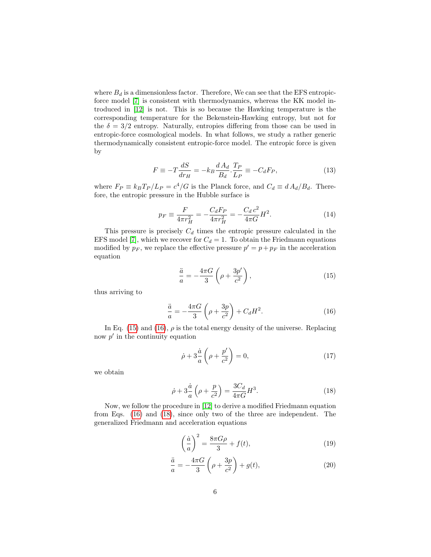where  $B_d$  is a dimensionless factor. Therefore, We can see that the EFS entropicforce model [\[7\]](#page-11-0) is consistent with thermodynamics, whereas the KK model introduced in [\[12\]](#page-11-5) is not. This is so because the Hawking temperature is the corresponding temperature for the Bekenstein-Hawking entropy, but not for the  $\delta = 3/2$  entropy. Naturally, entropies differing from those can be used in entropic-force cosmological models. In what follows, we study a rather generic thermodynamically consistent entropic-force model. The entropic force is given by

$$
F \equiv -T\frac{dS}{dr_H} = -k_B \frac{dA_d}{B_d} \cdot \frac{T_P}{L_P} \equiv -C_d F_P,\tag{13}
$$

where  $F_P \equiv k_B T_P / L_P = c^4 / G$  is the Planck force, and  $C_d \equiv d A_d / B_d$ . Therefore, the entropic pressure in the Hubble surface is

$$
p_F \equiv \frac{F}{4\pi r_H^2} = -\frac{C_d F_P}{4\pi r_H^2} = -\frac{C_d c^2}{4\pi G} H^2.
$$
 (14)

This pressure is precisely  $C_d$  times the entropic pressure calculated in the EFS model [\[7\]](#page-11-0), which we recover for  $C_d = 1$ . To obtain the Friedmann equations modified by  $p_F$ , we replace the effective pressure  $p' = p + p_F$  in the acceleration equation

<span id="page-5-0"></span>
$$
\frac{\ddot{a}}{a} = -\frac{4\pi G}{3} \left( \rho + \frac{3p'}{c^2} \right),\tag{15}
$$

thus arriving to

<span id="page-5-1"></span>
$$
\frac{\ddot{a}}{a} = -\frac{4\pi G}{3} \left( \rho + \frac{3p}{c^2} \right) + C_d H^2.
$$
 (16)

In Eq. [\(15\)](#page-5-0) and [\(16\)](#page-5-1),  $\rho$  is the total energy density of the universe. Replacing now  $p'$  in the continuity equation

$$
\dot{\rho} + 3\frac{\dot{a}}{a}\left(\rho + \frac{p'}{c^2}\right) = 0,\tag{17}
$$

we obtain

<span id="page-5-2"></span>
$$
\dot{\rho} + 3\frac{\dot{a}}{a}\left(\rho + \frac{p}{c^2}\right) = \frac{3C_d}{4\pi G}H^3.
$$
\n(18)

Now, we follow the procedure in [\[12\]](#page-11-5) to derive a modified Friedmann equation from Eqs. [\(16\)](#page-5-1) and [\(18\)](#page-5-2), since only two of the three are independent. The generalized Friedmann and acceleration equations

$$
\left(\frac{\dot{a}}{a}\right)^2 = \frac{8\pi G\rho}{3} + f(t),\tag{19}
$$

<span id="page-5-3"></span>
$$
\frac{\ddot{a}}{a} = -\frac{4\pi G}{3} \left( \rho + \frac{3p}{c^2} \right) + g(t),\tag{20}
$$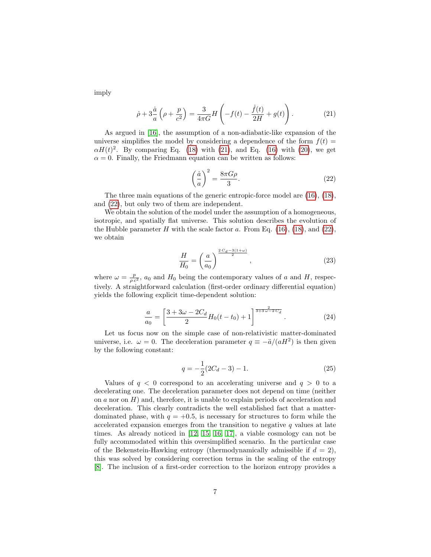imply

<span id="page-6-0"></span>
$$
\dot{\rho} + 3\frac{\dot{a}}{a}\left(\rho + \frac{p}{c^2}\right) = \frac{3}{4\pi G}H\left(-f(t) - \frac{\dot{f}(t)}{2H} + g(t)\right).
$$
 (21)

As argued in [\[16\]](#page-11-9), the assumption of a non-adiabatic-like expansion of the universe simplifies the model by considering a dependence of the form  $f(t)$  =  $\alpha H(t)^2$ . By comparing Eq. [\(18\)](#page-5-2) with [\(21\)](#page-6-0), and Eq. [\(16\)](#page-5-1) with [\(20\)](#page-5-3), we get  $\alpha = 0$ . Finally, the Friedmann equation can be written as follows:

<span id="page-6-1"></span>
$$
\left(\frac{\dot{a}}{a}\right)^2 = \frac{8\pi G\rho}{3}.\tag{22}
$$

The three main equations of the generic entropic-force model are [\(16\)](#page-5-1), [\(18\)](#page-5-2), and [\(22\)](#page-6-1), but only two of them are independent.

We obtain the solution of the model under the assumption of a homogeneous, isotropic, and spatially flat universe. This solution describes the evolution of the Hubble parameter  $H$  with the scale factor  $a$ . From Eq. [\(16\)](#page-5-1), [\(18\)](#page-5-2), and [\(22\)](#page-6-1), we obtain

<span id="page-6-2"></span>
$$
\frac{H}{H_0} = \left(\frac{a}{a_0}\right)^{\frac{2\,C_d - 3(1+\omega)}{2}},\tag{23}
$$

where  $\omega = \frac{p}{\rho c^2}$ ,  $a_0$  and  $H_0$  being the contemporary values of a and H, respectively. A straightforward calculation (first-order ordinary differential equation) yields the following explicit time-dependent solution:

$$
\frac{a}{a_0} = \left[\frac{3+3\omega - 2C_d}{2}H_0(t-t_0) + 1\right]^{\frac{2}{3+3\omega - 2C_d}}.\tag{24}
$$

Let us focus now on the simple case of non-relativistic matter-dominated universe, i.e.  $\omega = 0$ . The deceleration parameter  $q \equiv -\ddot{a}/(aH^2)$  is then given by the following constant:

$$
q = -\frac{1}{2}(2C_d - 3) - 1.
$$
 (25)

Values of  $q < 0$  correspond to an accelerating universe and  $q > 0$  to a decelerating one. The deceleration parameter does not depend on time (neither on  $a$  nor on  $H$ ) and, therefore, it is unable to explain periods of acceleration and deceleration. This clearly contradicts the well established fact that a matterdominated phase, with  $q = +0.5$ , is necessary for structures to form while the accelerated expansion emerges from the transition to negative  $q$  values at late times. As already noticed in [\[12,](#page-11-5) [15,](#page-11-8) [16,](#page-11-9) [17\]](#page-11-10), a viable cosmology can not be fully accommodated within this oversimplified scenario. In the particular case of the Bekenstein-Hawking entropy (thermodynamically admissible if  $d = 2$ ), this was solved by considering correction terms in the scaling of the entropy [\[8\]](#page-11-1). The inclusion of a first-order correction to the horizon entropy provides a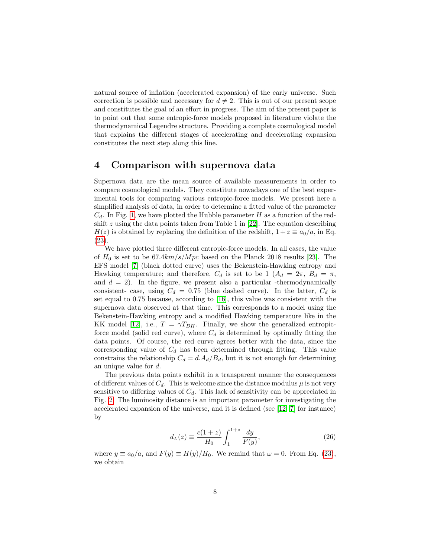natural source of inflation (accelerated expansion) of the early universe. Such correction is possible and necessary for  $d \neq 2$ . This is out of our present scope and constitutes the goal of an effort in progress. The aim of the present paper is to point out that some entropic-force models proposed in literature violate the thermodynamical Legendre structure. Providing a complete cosmological model that explains the different stages of accelerating and decelerating expansion constitutes the next step along this line.

### 4 Comparison with supernova data

Supernova data are the mean source of available measurements in order to compare cosmological models. They constitute nowadays one of the best experimental tools for comparing various entropic-force models. We present here a simplified analysis of data, in order to determine a fitted value of the parameter  $C_d$ . In Fig. [1,](#page-8-0) we have plotted the Hubble parameter H as a function of the redshift  $z$  using the data points taken from Table 1 in [\[22\]](#page-11-15). The equation describing  $H(z)$  is obtained by replacing the definition of the redshift,  $1 + z \equiv a_0/a$ , in Eq. [\(23\)](#page-6-2).

We have plotted three different entropic-force models. In all cases, the value of  $H_0$  is set to be 67.4km/s/Mpc based on the Planck 2018 results [\[23\]](#page-11-16). The EFS model [\[7\]](#page-11-0) (black dotted curve) uses the Bekenstein-Hawking entropy and Hawking temperature; and therefore,  $C_d$  is set to be 1  $(A_d = 2\pi, B_d = \pi,$ and  $d = 2$ ). In the figure, we present also a particular -thermodynamically consistent- case, using  $C_d = 0.75$  (blue dashed curve). In the latter,  $C_d$  is set equal to 0.75 because, according to [\[16\]](#page-11-9), this value was consistent with the supernova data observed at that time. This corresponds to a model using the Bekenstein-Hawking entropy and a modified Hawking temperature like in the KK model [\[12\]](#page-11-5), i.e.,  $T = \gamma T_{BH}$ . Finally, we show the generalized entropicforce model (solid red curve), where  $C_d$  is determined by optimally fitting the data points. Of course, the red curve agrees better with the data, since the corresponding value of  $C_d$  has been determined through fitting. This value constrains the relationship  $C_d = d.A_d/B_d$ , but it is not enough for determining an unique value for d.

The previous data points exhibit in a transparent manner the consequences of different values of  $C_d$ . This is welcome since the distance modulus  $\mu$  is not very sensitive to differing values of  $C_d$ . This lack of sensitivity can be appreciated in Fig. [2.](#page-9-0) The luminosity distance is an important parameter for investigating the accelerated expansion of the universe, and it is defined (see [\[12,](#page-11-5) [7\]](#page-11-0) for instance) by

$$
d_L(z) \equiv \frac{c(1+z)}{H_0} \int_1^{1+z} \frac{dy}{F(y)},
$$
\n(26)

where  $y \equiv a_0/a$ , and  $F(y) \equiv H(y)/H_0$ . We remind that  $\omega = 0$ . From Eq. [\(23\)](#page-6-2), we obtain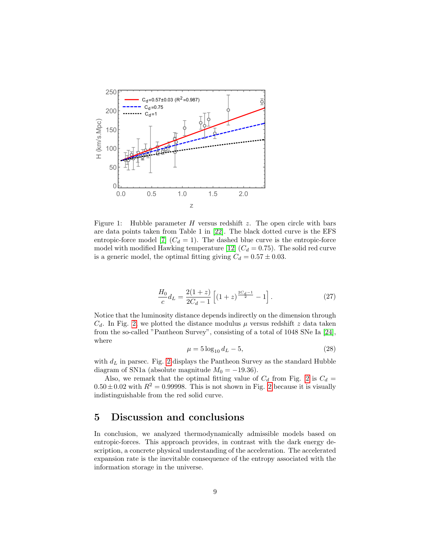

<span id="page-8-0"></span>Figure 1: Hubble parameter  $H$  versus redshift  $z$ . The open circle with bars are data points taken from Table 1 in [\[22\]](#page-11-15). The black dotted curve is the EFS entropic-force model [\[7\]](#page-11-0)  $(C_d = 1)$ . The dashed blue curve is the entropic-force model with modified Hawking temperature [\[12\]](#page-11-5)  $(C_d = 0.75)$ . The solid red curve is a generic model, the optimal fitting giving  $C_d = 0.57 \pm 0.03$ .

$$
\frac{H_0}{c}d_L = \frac{2(1+z)}{2C_d - 1} \left[ (1+z)^{\frac{2C_d - 1}{2}} - 1 \right].
$$
\n(27)

Notice that the luminosity distance depends indirectly on the dimension through  $C_d$ . In Fig. [2,](#page-9-0) we plotted the distance modulus  $\mu$  versus redshift z data taken from the so-called "Pantheon Survey", consisting of a total of 1048 SNe Ia [\[24\]](#page-12-0), where

$$
\mu = 5 \log_{10} d_L - 5,\tag{28}
$$

with  $d_L$  in parsec. Fig. [2](#page-9-0) displays the Pantheon Survey as the standard Hubble diagram of SN1a (absolute magnitude  $M_0 = -19.36$ ).

Also, we remark that the optimal fitting value of  $C_d$  from Fig. [2](#page-9-0) is  $C_d$  =  $0.50 \pm 0.02$  with  $R^2 = 0.99998$ . This is not shown in Fig. [2](#page-9-0) because it is visually indistinguishable from the red solid curve.

### 5 Discussion and conclusions

In conclusion, we analyzed thermodynamically admissible models based on entropic-forces. This approach provides, in contrast with the dark energy description, a concrete physical understanding of the acceleration. The accelerated expansion rate is the inevitable consequence of the entropy associated with the information storage in the universe.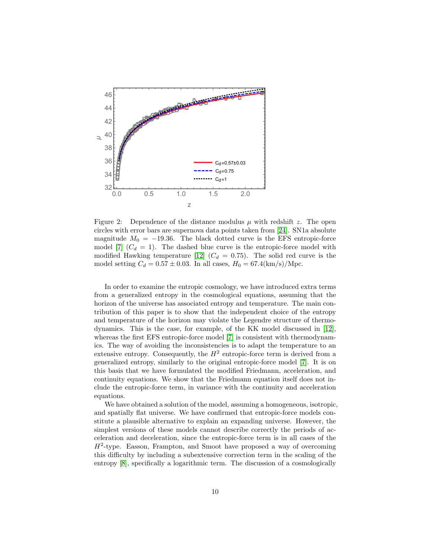

<span id="page-9-0"></span>Figure 2: Dependence of the distance modulus  $\mu$  with redshift z. The open circles with error bars are supernova data points taken from [\[24\]](#page-12-0). SN1a absolute magnitude  $M_0 = -19.36$ . The black dotted curve is the EFS entropic-force model [\[7\]](#page-11-0)  $(C_d = 1)$ . The dashed blue curve is the entropic-force model with modified Hawking temperature [\[12\]](#page-11-5)  $(C_d = 0.75)$ . The solid red curve is the model setting  $C_d = 0.57 \pm 0.03$ . In all cases,  $H_0 = 67.4 \text{(km/s)/Mpc}$ .

In order to examine the entropic cosmology, we have introduced extra terms from a generalized entropy in the cosmological equations, assuming that the horizon of the universe has associated entropy and temperature. The main contribution of this paper is to show that the independent choice of the entropy and temperature of the horizon may violate the Legendre structure of thermodynamics. This is the case, for example, of the KK model discussed in [\[12\]](#page-11-5), whereas the first EFS entropic-force model [\[7\]](#page-11-0) is consistent with thermodynamics. The way of avoiding the inconsistencies is to adapt the temperature to an extensive entropy. Consequently, the  $H^2$  entropic-force term is derived from a generalized entropy, similarly to the original entropic-force model [\[7\]](#page-11-0). It is on this basis that we have formulated the modified Friedmann, acceleration, and continuity equations. We show that the Friedmann equation itself does not include the entropic-force term, in variance with the continuity and acceleration equations.

We have obtained a solution of the model, assuming a homogeneous, isotropic, and spatially flat universe. We have confirmed that entropic-force models constitute a plausible alternative to explain an expanding universe. However, the simplest versions of these models cannot describe correctly the periods of acceleration and deceleration, since the entropic-force term is in all cases of the  $H^2$ -type. Easson, Frampton, and Smoot have proposed a way of overcoming this difficulty by including a subextensive correction term in the scaling of the entropy [\[8\]](#page-11-1), specifically a logarithmic term. The discussion of a cosmologically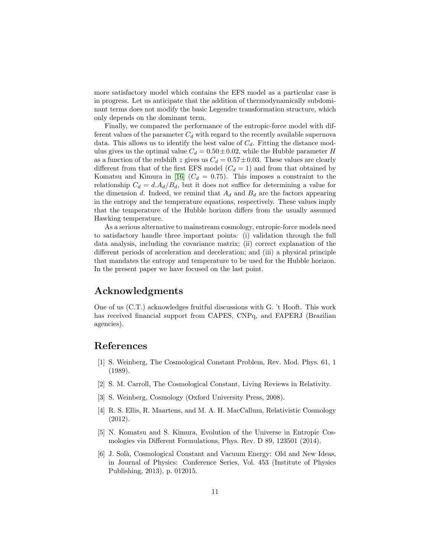more satisfactory model which contains the EFS model as a particular case is in progress. Let us anticipate that the addition of thermodynamically subdominant terms does not modify the basic Legendre transformation structure, which only depends on the dominant term.

Finally, we compared the performance of the entropic-force model with different values of the parameter  $C_d$  with regard to the recently available supernova data. This allows us to identify the best value of  $C_d$ . Fitting the distance modulus gives us the optimal value  $C_d = 0.50 \pm 0.02$ , while the Hubble parameter H as a function of the redshift z gives us  $C_d = 0.57 \pm 0.03$ . These values are clearly different from that of the first EFS model  $(C_d = 1)$  and from that obtained by Komatsu and Kimura in [\[16\]](#page-11-9)  $(C_d = 0.75)$ . This imposes a constraint to the relationship  $C_d = d.A_d/B_d$ , but it does not suffice for determining a value for the dimension d. Indeed, we remind that  $A_d$  and  $B_d$  are the factors appearing in the entropy and the temperature equations, respectively. These values imply that the temperature of the Hubble horizon differs from the usually assumed Hawking temperature.

As a serious alternative to mainstream cosmology, entropic-force models need to satisfactory handle three important points: (i) validation through the full data analysis, including the covariance matrix; (ii) correct explanation of the different periods of acceleration and deceleration; and (iii) a physical principle that mandates the entropy and temperature to be used for the Hubble horizon. In the present paper we have focused on the last point.

### Acknowledgments

One of us (C.T.) acknowledges fruitful discussions with G. 't Hooft. This work has received financial support from CAPES, CNPq, and FAPERJ (Brazilian agencies).

### References

- <span id="page-10-0"></span>[1] S. Weinberg, The Cosmological Constant Problem, Rev. Mod. Phys. 61, 1 (1989).
- <span id="page-10-1"></span>[2] S. M. Carroll, The Cosmological Constant, Living Reviews in Relativity.
- <span id="page-10-2"></span>[3] S. Weinberg, Cosmology (Oxford University Press, 2008).
- <span id="page-10-3"></span>[4] R. S. Ellis, R. Maartens, and M. A. H. MacCallum, Relativistic Cosmology (2012).
- <span id="page-10-4"></span>[5] N. Komatsu and S. Kimura, Evolution of the Universe in Entropic Cosmologies via Different Formulations, Phys. Rev. D 89, 123501 (2014).
- <span id="page-10-5"></span>[6] J. Sol`a, Cosmological Constant and Vacuum Energy: Old and New Ideas, in Journal of Physics: Conference Series, Vol. 453 (Institute of Physics Publishing, 2013), p. 012015.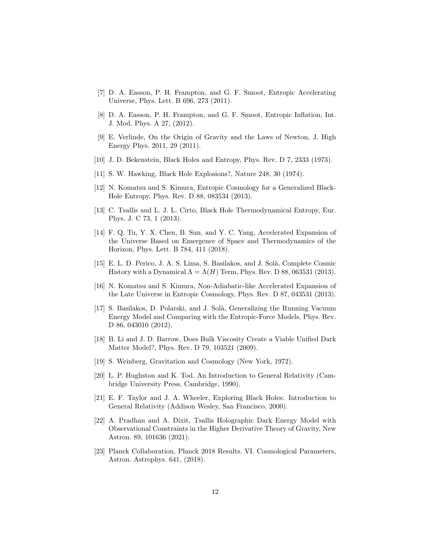- <span id="page-11-0"></span>[7] D. A. Easson, P. H. Frampton, and G. F. Smoot, Entropic Accelerating Universe, Phys. Lett. B 696, 273 (2011).
- <span id="page-11-1"></span>[8] D. A. Easson, P. H. Frampton, and G. F. Smoot, Entropic Inflation, Int. J. Mod. Phys. A 27, (2012).
- <span id="page-11-2"></span>[9] E. Verlinde, On the Origin of Gravity and the Laws of Newton, J. High Energy Phys. 2011, 29 (2011).
- <span id="page-11-3"></span>[10] J. D. Bekenstein, Black Holes and Entropy, Phys. Rev. D 7, 2333 (1973).
- <span id="page-11-4"></span>[11] S. W. Hawking, Black Hole Explosions?, Nature 248, 30 (1974).
- <span id="page-11-5"></span>[12] N. Komatsu and S. Kimura, Entropic Cosmology for a Generalized Black-Hole Entropy, Phys. Rev. D 88, 083534 (2013).
- <span id="page-11-6"></span>[13] C. Tsallis and L. J. L. Cirto, Black Hole Thermodynamical Entropy, Eur. Phys. J. C 73, 1 (2013).
- <span id="page-11-7"></span>[14] F. Q. Tu, Y. X. Chen, B. Sun, and Y. C. Yang, Accelerated Expansion of the Universe Based on Emergence of Space and Thermodynamics of the Horizon, Phys. Lett. B 784, 411 (2018).
- <span id="page-11-8"></span>[15] E. L. D. Perico, J. A. S. Lima, S. Basilakos, and J. Solà, Complete Cosmic History with a Dynamical  $\Lambda = \Lambda(H)$  Term, Phys. Rev. D 88, 063531 (2013).
- <span id="page-11-9"></span>[16] N. Komatsu and S. Kimura, Non-Adiabatic-like Accelerated Expansion of the Late Universe in Entropic Cosmology, Phys. Rev. D 87, 043531 (2013).
- <span id="page-11-10"></span>[17] S. Basilakos, D. Polarski, and J. Solà, Generalizing the Running Vacuum Energy Model and Comparing with the Entropic-Force Models, Phys. Rev. D 86, 043010 (2012).
- <span id="page-11-11"></span>[18] B. Li and J. D. Barrow, Does Bulk Viscosity Create a Viable Unified Dark Matter Model?, Phys. Rev. D 79, 103521 (2009).
- <span id="page-11-12"></span>[19] S. Weinberg, Gravitation and Cosmology (New York, 1972).
- <span id="page-11-13"></span>[20] L. P. Hughston and K. Tod, An Introduction to General Relativity (Cambridge University Press, Cambridge, 1990).
- <span id="page-11-14"></span>[21] E. F. Taylor and J. A. Wheeler, Exploring Black Holes: Introduction to General Relativity (Addison Wesley, San Francisco, 2000).
- <span id="page-11-15"></span>[22] A. Pradhan and A. Dixit, Tsallis Holographic Dark Energy Model with Observational Constraints in the Higher Derivative Theory of Gravity, New Astron. 89, 101636 (2021).
- <span id="page-11-16"></span>[23] Planck Collaboration, Planck 2018 Results. VI. Cosmological Parameters, Astron. Astrophys. 641, (2018).